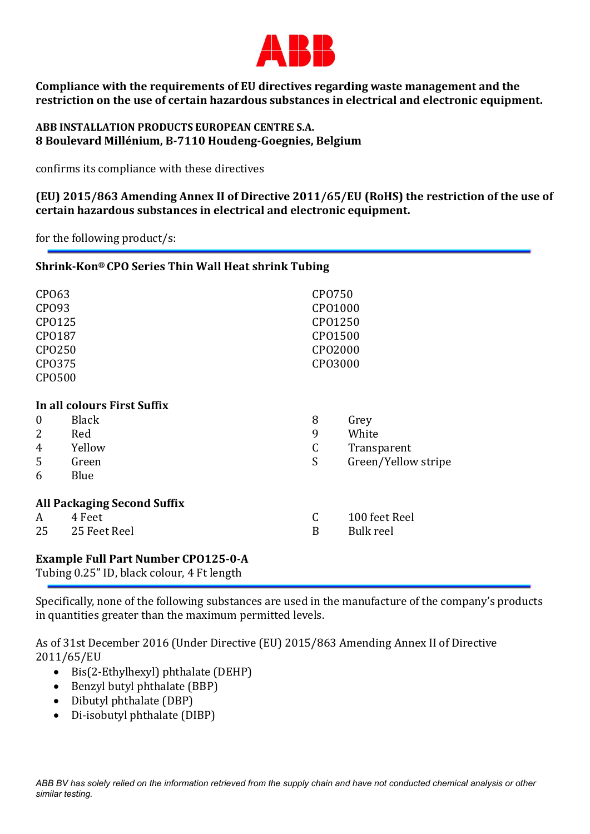

Compliance with the requirements of EU directives regarding waste management and the restriction on the use of certain hazardous substances in electrical and electronic equipment.

## ABB INSTALLATION PRODUCTS EUROPEAN CENTRE S.A. 8 Boulevard Millénium, B-7110 Houdeng-Goegnies, Belgium

confirms its compliance with these directives

(EU) 2015/863 Amending Annex II of Directive 2011/65/EU (RoHS) the restriction of the use of certain hazardous substances in electrical and electronic equipment.

for the following product/s:

## Shrink-Kon® CPO Series Thin Wall Heat shrink Tubing

| CP063<br>CP093<br>CP0125<br>CP0187<br>CP0250<br>CP0375<br><b>CPO500</b>                                                                                              |                                                                               |                            | CP0750<br>CP01000<br>CP01250<br>CP01500<br>CP02000<br>CP03000 |  |
|----------------------------------------------------------------------------------------------------------------------------------------------------------------------|-------------------------------------------------------------------------------|----------------------------|---------------------------------------------------------------|--|
| $\boldsymbol{0}$<br>2<br>4<br>5<br>6                                                                                                                                 | In all colours First Suffix<br><b>Black</b><br>Red<br>Yellow<br>Green<br>Blue | 8<br>9<br>$\mathsf C$<br>S | Grey<br>White<br>Transparent<br>Green/Yellow stripe           |  |
| <b>All Packaging Second Suffix</b><br>C<br>100 feet Reel<br>4 Feet<br>A<br>25<br>25 Feet Reel<br>B<br><b>Bulk reel</b><br><b>Example Full Part Number CP0125-0-A</b> |                                                                               |                            |                                                               |  |

Tubing 0.25" ID, black colour, 4 Ft length

Specifically, none of the following substances are used in the manufacture of the company's products in quantities greater than the maximum permitted levels.

As of 31st December 2016 (Under Directive (EU) 2015/863 Amending Annex II of Directive 2011/65/EU

- $\bullet$  Bis(2-Ethylhexyl) phthalate (DEHP)
- Benzyl butyl phthalate (BBP)
- Dibutyl phthalate (DBP)
- Di-isobutyl phthalate (DIBP)